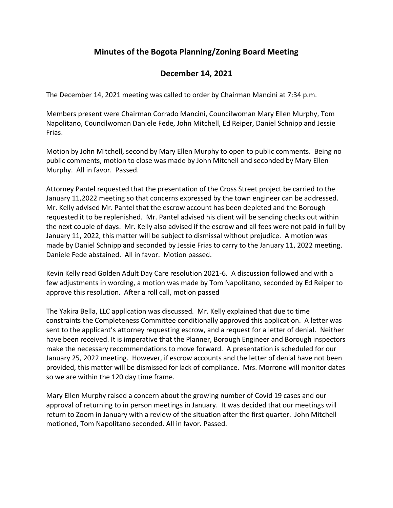## **Minutes of the Bogota Planning/Zoning Board Meeting**

## **December 14, 2021**

The December 14, 2021 meeting was called to order by Chairman Mancini at 7:34 p.m.

Members present were Chairman Corrado Mancini, Councilwoman Mary Ellen Murphy, Tom Napolitano, Councilwoman Daniele Fede, John Mitchell, Ed Reiper, Daniel Schnipp and Jessie Frias.

Motion by John Mitchell, second by Mary Ellen Murphy to open to public comments. Being no public comments, motion to close was made by John Mitchell and seconded by Mary Ellen Murphy. All in favor. Passed.

Attorney Pantel requested that the presentation of the Cross Street project be carried to the January 11,2022 meeting so that concerns expressed by the town engineer can be addressed. Mr. Kelly advised Mr. Pantel that the escrow account has been depleted and the Borough requested it to be replenished. Mr. Pantel advised his client will be sending checks out within the next couple of days. Mr. Kelly also advised if the escrow and all fees were not paid in full by January 11, 2022, this matter will be subject to dismissal without prejudice. A motion was made by Daniel Schnipp and seconded by Jessie Frias to carry to the January 11, 2022 meeting. Daniele Fede abstained. All in favor. Motion passed.

Kevin Kelly read Golden Adult Day Care resolution 2021-6. A discussion followed and with a few adjustments in wording, a motion was made by Tom Napolitano, seconded by Ed Reiper to approve this resolution. After a roll call, motion passed

The Yakira Bella, LLC application was discussed. Mr. Kelly explained that due to time constraints the Completeness Committee conditionally approved this application. A letter was sent to the applicant's attorney requesting escrow, and a request for a letter of denial. Neither have been received. It is imperative that the Planner, Borough Engineer and Borough inspectors make the necessary recommendations to move forward. A presentation is scheduled for our January 25, 2022 meeting. However, if escrow accounts and the letter of denial have not been provided, this matter will be dismissed for lack of compliance. Mrs. Morrone will monitor dates so we are within the 120 day time frame.

Mary Ellen Murphy raised a concern about the growing number of Covid 19 cases and our approval of returning to in person meetings in January. It was decided that our meetings will return to Zoom in January with a review of the situation after the first quarter. John Mitchell motioned, Tom Napolitano seconded. All in favor. Passed.